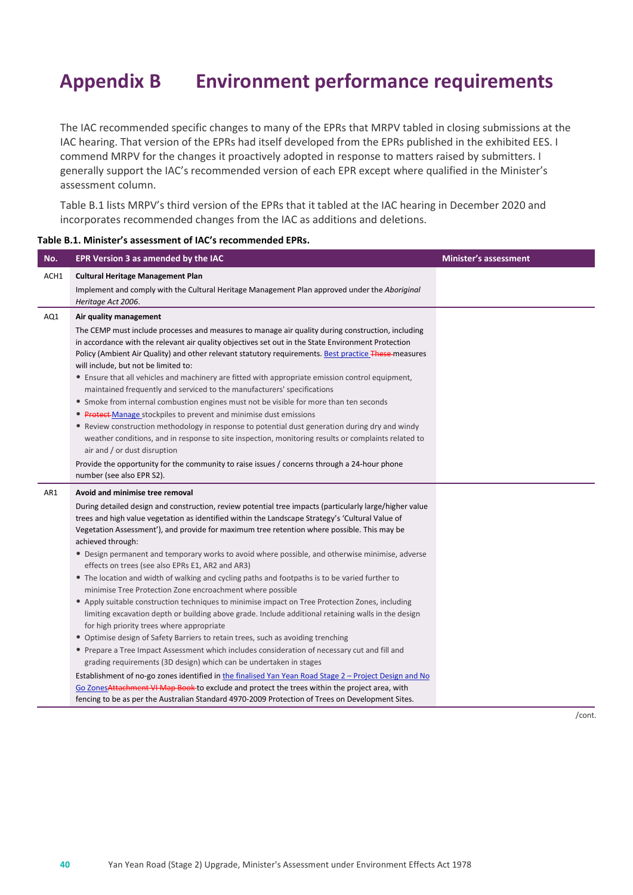# **Appendix B Environment performance requirements**

The IAC recommended specific changes to many of the EPRs that MRPV tabled in closing submissions at the IAC hearing. That version of the EPRs had itself developed from the EPRs published in the exhibited EES. I commend MRPV for the changes it proactively adopted in response to matters raised by submitters. I generally support the IAC's recommended version of each EPR except where qualified in the Minister's assessment column.

Table B.1 lists MRPV's third version of the EPRs that it tabled at the IAC hearing in December 2020 and incorporates recommended changes from the IAC as additions and deletions.

| No.  | EPR Version 3 as amended by the IAC                                                                                                                                                                                                                                                                                                                                                                                                                                                                                                                                                                                                                                                                                                                                                                                                                                                                                                                                                                                                                                           | <b>Minister's assessment</b> |
|------|-------------------------------------------------------------------------------------------------------------------------------------------------------------------------------------------------------------------------------------------------------------------------------------------------------------------------------------------------------------------------------------------------------------------------------------------------------------------------------------------------------------------------------------------------------------------------------------------------------------------------------------------------------------------------------------------------------------------------------------------------------------------------------------------------------------------------------------------------------------------------------------------------------------------------------------------------------------------------------------------------------------------------------------------------------------------------------|------------------------------|
| ACH1 | <b>Cultural Heritage Management Plan</b>                                                                                                                                                                                                                                                                                                                                                                                                                                                                                                                                                                                                                                                                                                                                                                                                                                                                                                                                                                                                                                      |                              |
|      | Implement and comply with the Cultural Heritage Management Plan approved under the Aboriginal<br>Heritage Act 2006.                                                                                                                                                                                                                                                                                                                                                                                                                                                                                                                                                                                                                                                                                                                                                                                                                                                                                                                                                           |                              |
| AQ1  | Air quality management                                                                                                                                                                                                                                                                                                                                                                                                                                                                                                                                                                                                                                                                                                                                                                                                                                                                                                                                                                                                                                                        |                              |
|      | The CEMP must include processes and measures to manage air quality during construction, including<br>in accordance with the relevant air quality objectives set out in the State Environment Protection<br>Policy (Ambient Air Quality) and other relevant statutory requirements. Best practice These-measures<br>will include, but not be limited to:<br>• Ensure that all vehicles and machinery are fitted with appropriate emission control equipment,<br>maintained frequently and serviced to the manufacturers' specifications<br>• Smoke from internal combustion engines must not be visible for more than ten seconds<br>• Protect-Manage stockpiles to prevent and minimise dust emissions<br>• Review construction methodology in response to potential dust generation during dry and windy<br>weather conditions, and in response to site inspection, monitoring results or complaints related to<br>air and / or dust disruption<br>Provide the opportunity for the community to raise issues / concerns through a 24-hour phone<br>number (see also EPR S2). |                              |
| AR1  | Avoid and minimise tree removal                                                                                                                                                                                                                                                                                                                                                                                                                                                                                                                                                                                                                                                                                                                                                                                                                                                                                                                                                                                                                                               |                              |
|      | During detailed design and construction, review potential tree impacts (particularly large/higher value<br>trees and high value vegetation as identified within the Landscape Strategy's 'Cultural Value of<br>Vegetation Assessment'), and provide for maximum tree retention where possible. This may be<br>achieved through:<br>• Design permanent and temporary works to avoid where possible, and otherwise minimise, adverse                                                                                                                                                                                                                                                                                                                                                                                                                                                                                                                                                                                                                                            |                              |
|      | effects on trees (see also EPRs E1, AR2 and AR3)<br>• The location and width of walking and cycling paths and footpaths is to be varied further to<br>minimise Tree Protection Zone encroachment where possible<br>• Apply suitable construction techniques to minimise impact on Tree Protection Zones, including<br>limiting excavation depth or building above grade. Include additional retaining walls in the design<br>for high priority trees where appropriate<br>• Optimise design of Safety Barriers to retain trees, such as avoiding trenching<br>• Prepare a Tree Impact Assessment which includes consideration of necessary cut and fill and<br>grading requirements (3D design) which can be undertaken in stages<br>Establishment of no-go zones identified in the finalised Yan Yean Road Stage 2 – Project Design and No<br>Go ZonesAttachment VI Map Book-to exclude and protect the trees within the project area, with<br>fencing to be as per the Australian Standard 4970-2009 Protection of Trees on Development Sites.                              |                              |

#### **Table B.1. Minister's assessment of IAC's recommended EPRs.**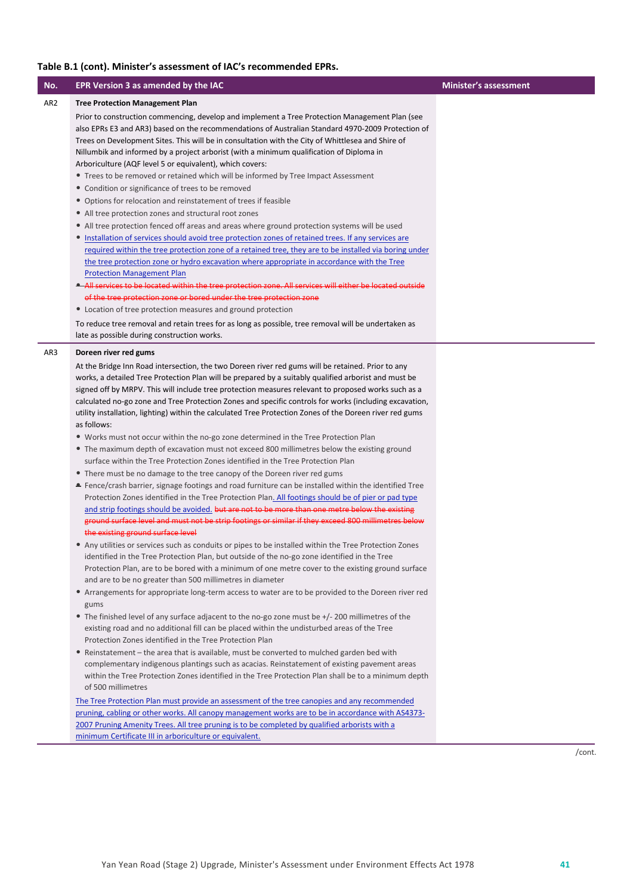| No.             | EPR Version 3 as amended by the IAC                                                                                                                                                                            | <b>Minister's assessment</b> |
|-----------------|----------------------------------------------------------------------------------------------------------------------------------------------------------------------------------------------------------------|------------------------------|
| AR <sub>2</sub> | <b>Tree Protection Management Plan</b>                                                                                                                                                                         |                              |
|                 | Prior to construction commencing, develop and implement a Tree Protection Management Plan (see                                                                                                                 |                              |
|                 | also EPRs E3 and AR3) based on the recommendations of Australian Standard 4970-2009 Protection of                                                                                                              |                              |
|                 | Trees on Development Sites. This will be in consultation with the City of Whittlesea and Shire of                                                                                                              |                              |
|                 | Nillumbik and informed by a project arborist (with a minimum qualification of Diploma in                                                                                                                       |                              |
|                 | Arboriculture (AQF level 5 or equivalent), which covers:                                                                                                                                                       |                              |
|                 | • Trees to be removed or retained which will be informed by Tree Impact Assessment                                                                                                                             |                              |
|                 | • Condition or significance of trees to be removed                                                                                                                                                             |                              |
|                 | • Options for relocation and reinstatement of trees if feasible                                                                                                                                                |                              |
|                 | • All tree protection zones and structural root zones                                                                                                                                                          |                              |
|                 | • All tree protection fenced off areas and areas where ground protection systems will be used                                                                                                                  |                              |
|                 | • Installation of services should avoid tree protection zones of retained trees. If any services are<br>required within the tree protection zone of a retained tree, they are to be installed via boring under |                              |
|                 | the tree protection zone or hydro excavation where appropriate in accordance with the Tree                                                                                                                     |                              |
|                 | <b>Protection Management Plan</b>                                                                                                                                                                              |                              |
|                 | . All services to be located within the tree protection zone. All services will either be located outside                                                                                                      |                              |
|                 | of the tree protection zone or bored under the tree protection zone                                                                                                                                            |                              |
|                 | • Location of tree protection measures and ground protection                                                                                                                                                   |                              |
|                 | To reduce tree removal and retain trees for as long as possible, tree removal will be undertaken as                                                                                                            |                              |
|                 | late as possible during construction works.                                                                                                                                                                    |                              |
| AR3             | Doreen river red gums                                                                                                                                                                                          |                              |
|                 | At the Bridge Inn Road intersection, the two Doreen river red gums will be retained. Prior to any                                                                                                              |                              |
|                 | works, a detailed Tree Protection Plan will be prepared by a suitably qualified arborist and must be                                                                                                           |                              |
|                 | signed off by MRPV. This will include tree protection measures relevant to proposed works such as a                                                                                                            |                              |
|                 | calculated no-go zone and Tree Protection Zones and specific controls for works (including excavation,                                                                                                         |                              |
|                 | utility installation, lighting) within the calculated Tree Protection Zones of the Doreen river red gums                                                                                                       |                              |
|                 | as follows:                                                                                                                                                                                                    |                              |
|                 | • Works must not occur within the no-go zone determined in the Tree Protection Plan                                                                                                                            |                              |
|                 | • The maximum depth of excavation must not exceed 800 millimetres below the existing ground                                                                                                                    |                              |
|                 | surface within the Tree Protection Zones identified in the Tree Protection Plan                                                                                                                                |                              |
|                 | • There must be no damage to the tree canopy of the Doreen river red gums                                                                                                                                      |                              |
|                 | Fence/crash barrier, signage footings and road furniture can be installed within the identified Tree                                                                                                           |                              |
|                 | Protection Zones identified in the Tree Protection Plan. All footings should be of pier or pad type                                                                                                            |                              |
|                 | and strip footings should be avoided. but are not to be more than one metre below the existing                                                                                                                 |                              |
|                 | ground surface level and must not be strip footings or similar if they exceed 800 millimetres below<br>the existing ground surface level                                                                       |                              |
|                 | • Any utilities or services such as conduits or pipes to be installed within the Tree Protection Zones                                                                                                         |                              |
|                 | identified in the Tree Protection Plan, but outside of the no-go zone identified in the Tree                                                                                                                   |                              |
|                 | Protection Plan, are to be bored with a minimum of one metre cover to the existing ground surface                                                                                                              |                              |
|                 | and are to be no greater than 500 millimetres in diameter                                                                                                                                                      |                              |
|                 | • Arrangements for appropriate long-term access to water are to be provided to the Doreen river red                                                                                                            |                              |
|                 | gums                                                                                                                                                                                                           |                              |
|                 | • The finished level of any surface adjacent to the no-go zone must be +/- 200 millimetres of the                                                                                                              |                              |
|                 | existing road and no additional fill can be placed within the undisturbed areas of the Tree                                                                                                                    |                              |
|                 | Protection Zones identified in the Tree Protection Plan                                                                                                                                                        |                              |
|                 | • Reinstatement - the area that is available, must be converted to mulched garden bed with                                                                                                                     |                              |
|                 | complementary indigenous plantings such as acacias. Reinstatement of existing pavement areas                                                                                                                   |                              |
|                 | within the Tree Protection Zones identified in the Tree Protection Plan shall be to a minimum depth                                                                                                            |                              |
|                 | of 500 millimetres                                                                                                                                                                                             |                              |
|                 | The Tree Protection Plan must provide an assessment of the tree canopies and any recommended                                                                                                                   |                              |
|                 | pruning, cabling or other works. All canopy management works are to be in accordance with AS4373-                                                                                                              |                              |
|                 | 2007 Pruning Amenity Trees. All tree pruning is to be completed by qualified arborists with a<br>minimum Certificate III in arboriculture or equivalent.                                                       |                              |
|                 |                                                                                                                                                                                                                |                              |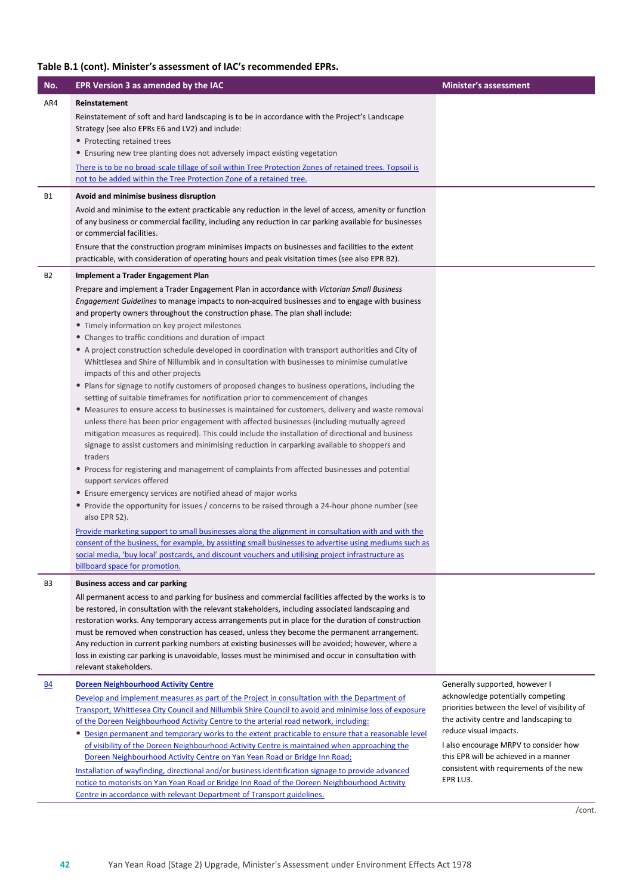| No.            | EPR Version 3 as amended by the IAC                                                                                                                                                                                                                                                                                                                                                                                                                                                                                                                                                                                                                                                                                                                                                                                                                                                                                                                                                                                                                                                                                                                                                                                                                                                                                                                                                                                                                                                                                                                                                                                                                                                                                                                                                    | <b>Minister's assessment</b>                                                                                                                                                                                                                                                                    |
|----------------|----------------------------------------------------------------------------------------------------------------------------------------------------------------------------------------------------------------------------------------------------------------------------------------------------------------------------------------------------------------------------------------------------------------------------------------------------------------------------------------------------------------------------------------------------------------------------------------------------------------------------------------------------------------------------------------------------------------------------------------------------------------------------------------------------------------------------------------------------------------------------------------------------------------------------------------------------------------------------------------------------------------------------------------------------------------------------------------------------------------------------------------------------------------------------------------------------------------------------------------------------------------------------------------------------------------------------------------------------------------------------------------------------------------------------------------------------------------------------------------------------------------------------------------------------------------------------------------------------------------------------------------------------------------------------------------------------------------------------------------------------------------------------------------|-------------------------------------------------------------------------------------------------------------------------------------------------------------------------------------------------------------------------------------------------------------------------------------------------|
| AR4            | Reinstatement                                                                                                                                                                                                                                                                                                                                                                                                                                                                                                                                                                                                                                                                                                                                                                                                                                                                                                                                                                                                                                                                                                                                                                                                                                                                                                                                                                                                                                                                                                                                                                                                                                                                                                                                                                          |                                                                                                                                                                                                                                                                                                 |
|                | Reinstatement of soft and hard landscaping is to be in accordance with the Project's Landscape<br>Strategy (see also EPRs E6 and LV2) and include:<br>• Protecting retained trees                                                                                                                                                                                                                                                                                                                                                                                                                                                                                                                                                                                                                                                                                                                                                                                                                                                                                                                                                                                                                                                                                                                                                                                                                                                                                                                                                                                                                                                                                                                                                                                                      |                                                                                                                                                                                                                                                                                                 |
|                | • Ensuring new tree planting does not adversely impact existing vegetation                                                                                                                                                                                                                                                                                                                                                                                                                                                                                                                                                                                                                                                                                                                                                                                                                                                                                                                                                                                                                                                                                                                                                                                                                                                                                                                                                                                                                                                                                                                                                                                                                                                                                                             |                                                                                                                                                                                                                                                                                                 |
|                | There is to be no broad-scale tillage of soil within Tree Protection Zones of retained trees. Topsoil is<br>not to be added within the Tree Protection Zone of a retained tree.                                                                                                                                                                                                                                                                                                                                                                                                                                                                                                                                                                                                                                                                                                                                                                                                                                                                                                                                                                                                                                                                                                                                                                                                                                                                                                                                                                                                                                                                                                                                                                                                        |                                                                                                                                                                                                                                                                                                 |
| <b>B1</b>      | Avoid and minimise business disruption                                                                                                                                                                                                                                                                                                                                                                                                                                                                                                                                                                                                                                                                                                                                                                                                                                                                                                                                                                                                                                                                                                                                                                                                                                                                                                                                                                                                                                                                                                                                                                                                                                                                                                                                                 |                                                                                                                                                                                                                                                                                                 |
|                | Avoid and minimise to the extent practicable any reduction in the level of access, amenity or function<br>of any business or commercial facility, including any reduction in car parking available for businesses<br>or commercial facilities.<br>Ensure that the construction program minimises impacts on businesses and facilities to the extent<br>practicable, with consideration of operating hours and peak visitation times (see also EPR B2).                                                                                                                                                                                                                                                                                                                                                                                                                                                                                                                                                                                                                                                                                                                                                                                                                                                                                                                                                                                                                                                                                                                                                                                                                                                                                                                                 |                                                                                                                                                                                                                                                                                                 |
| <b>B2</b>      | Implement a Trader Engagement Plan                                                                                                                                                                                                                                                                                                                                                                                                                                                                                                                                                                                                                                                                                                                                                                                                                                                                                                                                                                                                                                                                                                                                                                                                                                                                                                                                                                                                                                                                                                                                                                                                                                                                                                                                                     |                                                                                                                                                                                                                                                                                                 |
|                | Prepare and implement a Trader Engagement Plan in accordance with Victorian Small Business<br>Engagement Guidelines to manage impacts to non-acquired businesses and to engage with business<br>and property owners throughout the construction phase. The plan shall include:<br>• Timely information on key project milestones<br>• Changes to traffic conditions and duration of impact<br>• A project construction schedule developed in coordination with transport authorities and City of<br>Whittlesea and Shire of Nillumbik and in consultation with businesses to minimise cumulative<br>impacts of this and other projects<br>• Plans for signage to notify customers of proposed changes to business operations, including the<br>setting of suitable timeframes for notification prior to commencement of changes<br>• Measures to ensure access to businesses is maintained for customers, delivery and waste removal<br>unless there has been prior engagement with affected businesses (including mutually agreed<br>mitigation measures as required). This could include the installation of directional and business<br>signage to assist customers and minimising reduction in carparking available to shoppers and<br>traders<br>• Process for registering and management of complaints from affected businesses and potential<br>support services offered<br>• Ensure emergency services are notified ahead of major works<br>• Provide the opportunity for issues / concerns to be raised through a 24-hour phone number (see<br>also EPR S2).<br>Provide marketing support to small businesses along the alignment in consultation with and with the<br>consent of the business, for example, by assisting small businesses to advertise using mediums such as |                                                                                                                                                                                                                                                                                                 |
|                | social media, 'buy local' postcards, and discount vouchers and utilising project infrastructure as<br>billboard space for promotion.                                                                                                                                                                                                                                                                                                                                                                                                                                                                                                                                                                                                                                                                                                                                                                                                                                                                                                                                                                                                                                                                                                                                                                                                                                                                                                                                                                                                                                                                                                                                                                                                                                                   |                                                                                                                                                                                                                                                                                                 |
| B <sub>3</sub> | <b>Business access and car parking</b>                                                                                                                                                                                                                                                                                                                                                                                                                                                                                                                                                                                                                                                                                                                                                                                                                                                                                                                                                                                                                                                                                                                                                                                                                                                                                                                                                                                                                                                                                                                                                                                                                                                                                                                                                 |                                                                                                                                                                                                                                                                                                 |
|                | All permanent access to and parking for business and commercial facilities affected by the works is to<br>be restored, in consultation with the relevant stakeholders, including associated landscaping and<br>restoration works. Any temporary access arrangements put in place for the duration of construction<br>must be removed when construction has ceased, unless they become the permanent arrangement.<br>Any reduction in current parking numbers at existing businesses will be avoided; however, where a<br>loss in existing car parking is unavoidable, losses must be minimised and occur in consultation with<br>relevant stakeholders.                                                                                                                                                                                                                                                                                                                                                                                                                                                                                                                                                                                                                                                                                                                                                                                                                                                                                                                                                                                                                                                                                                                                |                                                                                                                                                                                                                                                                                                 |
| <u>B4</u>      | <b>Doreen Neighbourhood Activity Centre</b>                                                                                                                                                                                                                                                                                                                                                                                                                                                                                                                                                                                                                                                                                                                                                                                                                                                                                                                                                                                                                                                                                                                                                                                                                                                                                                                                                                                                                                                                                                                                                                                                                                                                                                                                            | Generally supported, however I                                                                                                                                                                                                                                                                  |
|                | Develop and implement measures as part of the Project in consultation with the Department of<br>Transport, Whittlesea City Council and Nillumbik Shire Council to avoid and minimise loss of exposure<br>of the Doreen Neighbourhood Activity Centre to the arterial road network, including:<br>• Design permanent and temporary works to the extent practicable to ensure that a reasonable level<br>of visibility of the Doreen Neighbourhood Activity Centre is maintained when approaching the<br>Doreen Neighbourhood Activity Centre on Yan Yean Road or Bridge Inn Road;<br>Installation of wayfinding, directional and/or business identification signage to provide advanced<br>notice to motorists on Yan Yean Road or Bridge Inn Road of the Doreen Neighbourhood Activity                                                                                                                                                                                                                                                                                                                                                                                                                                                                                                                                                                                                                                                                                                                                                                                                                                                                                                                                                                                                 | acknowledge potentially competing<br>priorities between the level of visibility of<br>the activity centre and landscaping to<br>reduce visual impacts.<br>I also encourage MRPV to consider how<br>this EPR will be achieved in a manner<br>consistent with requirements of the new<br>EPR LU3. |
|                | Centre in accordance with relevant Department of Transport guidelines.                                                                                                                                                                                                                                                                                                                                                                                                                                                                                                                                                                                                                                                                                                                                                                                                                                                                                                                                                                                                                                                                                                                                                                                                                                                                                                                                                                                                                                                                                                                                                                                                                                                                                                                 |                                                                                                                                                                                                                                                                                                 |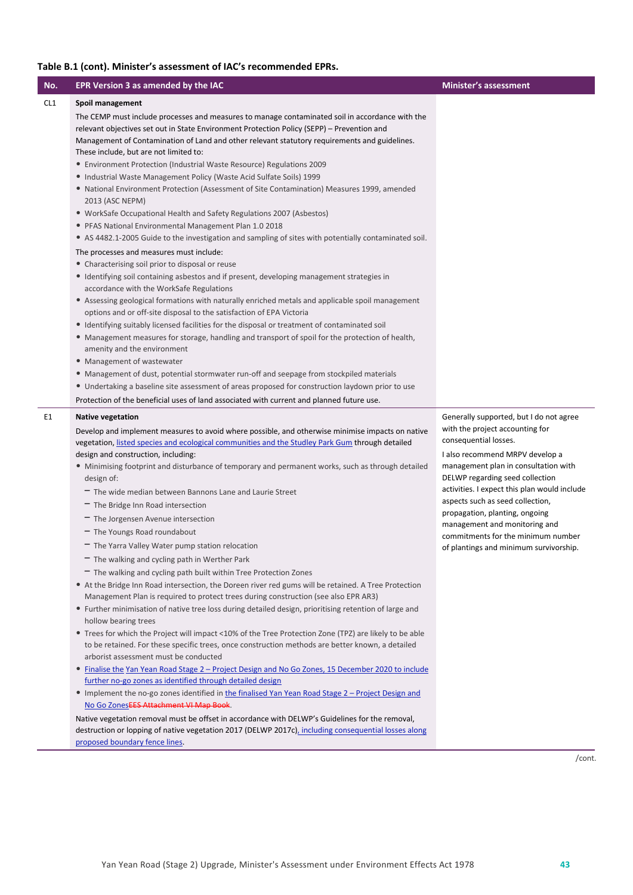| No. | EPR Version 3 as amended by the IAC                                                                                                                                                                                                                                                            | <b>Minister's assessment</b>                                                                                            |
|-----|------------------------------------------------------------------------------------------------------------------------------------------------------------------------------------------------------------------------------------------------------------------------------------------------|-------------------------------------------------------------------------------------------------------------------------|
| CL1 | Spoil management                                                                                                                                                                                                                                                                               |                                                                                                                         |
|     | The CEMP must include processes and measures to manage contaminated soil in accordance with the<br>relevant objectives set out in State Environment Protection Policy (SEPP) – Prevention and<br>Management of Contamination of Land and other relevant statutory requirements and guidelines. |                                                                                                                         |
|     | These include, but are not limited to:<br>• Environment Protection (Industrial Waste Resource) Regulations 2009                                                                                                                                                                                |                                                                                                                         |
|     | • Industrial Waste Management Policy (Waste Acid Sulfate Soils) 1999                                                                                                                                                                                                                           |                                                                                                                         |
|     | • National Environment Protection (Assessment of Site Contamination) Measures 1999, amended<br>2013 (ASC NEPM)                                                                                                                                                                                 |                                                                                                                         |
|     | • WorkSafe Occupational Health and Safety Regulations 2007 (Asbestos)                                                                                                                                                                                                                          |                                                                                                                         |
|     | • PFAS National Environmental Management Plan 1.0 2018                                                                                                                                                                                                                                         |                                                                                                                         |
|     | • AS 4482.1-2005 Guide to the investigation and sampling of sites with potentially contaminated soil.                                                                                                                                                                                          |                                                                                                                         |
|     | The processes and measures must include:                                                                                                                                                                                                                                                       |                                                                                                                         |
|     | • Characterising soil prior to disposal or reuse<br>• Identifying soil containing asbestos and if present, developing management strategies in<br>accordance with the WorkSafe Regulations                                                                                                     |                                                                                                                         |
|     | • Assessing geological formations with naturally enriched metals and applicable spoil management<br>options and or off-site disposal to the satisfaction of EPA Victoria                                                                                                                       |                                                                                                                         |
|     | • Identifying suitably licensed facilities for the disposal or treatment of contaminated soil                                                                                                                                                                                                  |                                                                                                                         |
|     | • Management measures for storage, handling and transport of spoil for the protection of health,<br>amenity and the environment                                                                                                                                                                |                                                                                                                         |
|     | • Management of wastewater                                                                                                                                                                                                                                                                     |                                                                                                                         |
|     | • Management of dust, potential stormwater run-off and seepage from stockpiled materials                                                                                                                                                                                                       |                                                                                                                         |
|     | • Undertaking a baseline site assessment of areas proposed for construction laydown prior to use                                                                                                                                                                                               |                                                                                                                         |
|     | Protection of the beneficial uses of land associated with current and planned future use.                                                                                                                                                                                                      |                                                                                                                         |
| E1  | <b>Native vegetation</b><br>Develop and implement measures to avoid where possible, and otherwise minimise impacts on native                                                                                                                                                                   | Generally supported, but I do not agree<br>with the project accounting for                                              |
|     | vegetation, listed species and ecological communities and the Studley Park Gum through detailed                                                                                                                                                                                                | consequential losses.                                                                                                   |
|     | design and construction, including:                                                                                                                                                                                                                                                            | I also recommend MRPV develop a                                                                                         |
|     | • Minimising footprint and disturbance of temporary and permanent works, such as through detailed<br>design of:                                                                                                                                                                                | management plan in consultation with<br>DELWP regarding seed collection<br>activities. I expect this plan would include |
|     | The wide median between Bannons Lane and Laurie Street                                                                                                                                                                                                                                         | aspects such as seed collection,                                                                                        |
|     | - The Bridge Inn Road intersection                                                                                                                                                                                                                                                             | propagation, planting, ongoing                                                                                          |
|     | - The Jorgensen Avenue intersection                                                                                                                                                                                                                                                            | management and monitoring and                                                                                           |
|     | - The Youngs Road roundabout                                                                                                                                                                                                                                                                   | commitments for the minimum number                                                                                      |
|     | - The Yarra Valley Water pump station relocation                                                                                                                                                                                                                                               | of plantings and minimum survivorship.                                                                                  |
|     | - The walking and cycling path in Werther Park                                                                                                                                                                                                                                                 |                                                                                                                         |
|     | - The walking and cycling path built within Tree Protection Zones<br>• At the Bridge Inn Road intersection, the Doreen river red gums will be retained. A Tree Protection                                                                                                                      |                                                                                                                         |
|     | Management Plan is required to protect trees during construction (see also EPR AR3)                                                                                                                                                                                                            |                                                                                                                         |
|     | • Further minimisation of native tree loss during detailed design, prioritising retention of large and<br>hollow bearing trees                                                                                                                                                                 |                                                                                                                         |
|     | • Trees for which the Project will impact <10% of the Tree Protection Zone (TPZ) are likely to be able                                                                                                                                                                                         |                                                                                                                         |
|     | to be retained. For these specific trees, once construction methods are better known, a detailed<br>arborist assessment must be conducted                                                                                                                                                      |                                                                                                                         |
|     | • Finalise the Yan Yean Road Stage 2 - Project Design and No Go Zones, 15 December 2020 to include                                                                                                                                                                                             |                                                                                                                         |
|     | further no-go zones as identified through detailed design                                                                                                                                                                                                                                      |                                                                                                                         |
|     | • Implement the no-go zones identified in the finalised Yan Yean Road Stage 2 - Project Design and                                                                                                                                                                                             |                                                                                                                         |
|     | No Go ZonesEES Attachment VI Map Book.                                                                                                                                                                                                                                                         |                                                                                                                         |
|     | Native vegetation removal must be offset in accordance with DELWP's Guidelines for the removal,<br>destruction or lopping of native vegetation 2017 (DELWP 2017c), including consequential losses along                                                                                        |                                                                                                                         |

/cont.

proposed boundary fence lines.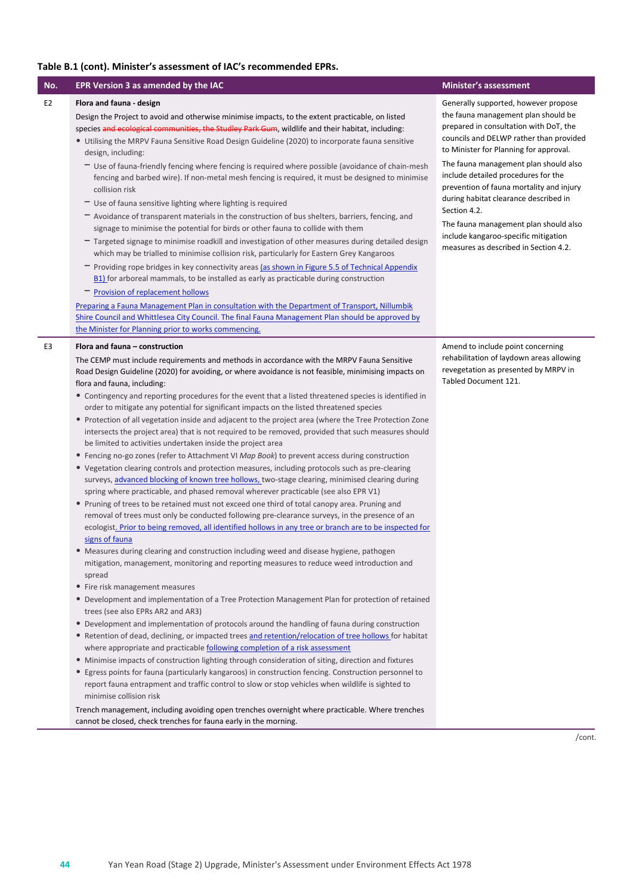| No.            | <b>EPR Version 3 as amended by the IAC</b>                                                                                                                                                                                                                                                                                                                                                                                                                                                                                                                                                                                                                                                                                                                                                                                                                                                                                                                                                                                                                                                                                                                                                                                                                                                                                                                                                                                                                                                                                                                                                                                                                                                                                                                                                                                                                                                                                                                                                                                                                                                                                                                                                                                                                                                                                                                                                                                                                                                                                                                                                                                                             | <b>Minister's assessment</b>                                                                                                                                                                                                                                                                                                                                                                                                                                                                                              |
|----------------|--------------------------------------------------------------------------------------------------------------------------------------------------------------------------------------------------------------------------------------------------------------------------------------------------------------------------------------------------------------------------------------------------------------------------------------------------------------------------------------------------------------------------------------------------------------------------------------------------------------------------------------------------------------------------------------------------------------------------------------------------------------------------------------------------------------------------------------------------------------------------------------------------------------------------------------------------------------------------------------------------------------------------------------------------------------------------------------------------------------------------------------------------------------------------------------------------------------------------------------------------------------------------------------------------------------------------------------------------------------------------------------------------------------------------------------------------------------------------------------------------------------------------------------------------------------------------------------------------------------------------------------------------------------------------------------------------------------------------------------------------------------------------------------------------------------------------------------------------------------------------------------------------------------------------------------------------------------------------------------------------------------------------------------------------------------------------------------------------------------------------------------------------------------------------------------------------------------------------------------------------------------------------------------------------------------------------------------------------------------------------------------------------------------------------------------------------------------------------------------------------------------------------------------------------------------------------------------------------------------------------------------------------------|---------------------------------------------------------------------------------------------------------------------------------------------------------------------------------------------------------------------------------------------------------------------------------------------------------------------------------------------------------------------------------------------------------------------------------------------------------------------------------------------------------------------------|
| E <sub>2</sub> | Flora and fauna - design<br>Design the Project to avoid and otherwise minimise impacts, to the extent practicable, on listed<br>species and ecological communities, the Studley Park Gum, wildlife and their habitat, including:<br>• Utilising the MRPV Fauna Sensitive Road Design Guideline (2020) to incorporate fauna sensitive<br>design, including:<br>- Use of fauna-friendly fencing where fencing is required where possible (avoidance of chain-mesh<br>fencing and barbed wire). If non-metal mesh fencing is required, it must be designed to minimise<br>collision risk<br>- Use of fauna sensitive lighting where lighting is required<br>- Avoidance of transparent materials in the construction of bus shelters, barriers, fencing, and<br>signage to minimise the potential for birds or other fauna to collide with them<br>- Targeted signage to minimise roadkill and investigation of other measures during detailed design<br>which may be trialled to minimise collision risk, particularly for Eastern Grey Kangaroos<br>- Providing rope bridges in key connectivity areas (as shown in Figure 5.5 of Technical Appendix<br>B1) for arboreal mammals, to be installed as early as practicable during construction<br>- Provision of replacement hollows<br>Preparing a Fauna Management Plan in consultation with the Department of Transport, Nillumbik<br>Shire Council and Whittlesea City Council. The final Fauna Management Plan should be approved by<br>the Minister for Planning prior to works commencing.                                                                                                                                                                                                                                                                                                                                                                                                                                                                                                                                                                                                                                                                                                                                                                                                                                                                                                                                                                                                                                                                                                        | Generally supported, however propose<br>the fauna management plan should be<br>prepared in consultation with DoT, the<br>councils and DELWP rather than provided<br>to Minister for Planning for approval.<br>The fauna management plan should also<br>include detailed procedures for the<br>prevention of fauna mortality and injury<br>during habitat clearance described in<br>Section 4.2.<br>The fauna management plan should also<br>include kangaroo-specific mitigation<br>measures as described in Section 4.2. |
| E3             | Flora and fauna - construction                                                                                                                                                                                                                                                                                                                                                                                                                                                                                                                                                                                                                                                                                                                                                                                                                                                                                                                                                                                                                                                                                                                                                                                                                                                                                                                                                                                                                                                                                                                                                                                                                                                                                                                                                                                                                                                                                                                                                                                                                                                                                                                                                                                                                                                                                                                                                                                                                                                                                                                                                                                                                         | Amend to include point concerning                                                                                                                                                                                                                                                                                                                                                                                                                                                                                         |
|                | The CEMP must include requirements and methods in accordance with the MRPV Fauna Sensitive<br>Road Design Guideline (2020) for avoiding, or where avoidance is not feasible, minimising impacts on<br>flora and fauna, including:<br>• Contingency and reporting procedures for the event that a listed threatened species is identified in<br>order to mitigate any potential for significant impacts on the listed threatened species<br>• Protection of all vegetation inside and adjacent to the project area (where the Tree Protection Zone<br>intersects the project area) that is not required to be removed, provided that such measures should<br>be limited to activities undertaken inside the project area<br>• Fencing no-go zones (refer to Attachment VI Map Book) to prevent access during construction<br>• Vegetation clearing controls and protection measures, including protocols such as pre-clearing<br>surveys, advanced blocking of known tree hollows, two-stage clearing, minimised clearing during<br>spring where practicable, and phased removal wherever practicable (see also EPR V1)<br>• Pruning of trees to be retained must not exceed one third of total canopy area. Pruning and<br>removal of trees must only be conducted following pre-clearance surveys, in the presence of an<br>ecologist. Prior to being removed, all identified hollows in any tree or branch are to be inspected for<br>signs of fauna<br>• Measures during clearing and construction including weed and disease hygiene, pathogen<br>mitigation, management, monitoring and reporting measures to reduce weed introduction and<br>spread<br>• Fire risk management measures<br>• Development and implementation of a Tree Protection Management Plan for protection of retained<br>trees (see also EPRs AR2 and AR3)<br>• Development and implementation of protocols around the handling of fauna during construction<br>• Retention of dead, declining, or impacted trees and retention/relocation of tree hollows for habitat<br>where appropriate and practicable following completion of a risk assessment<br>• Minimise impacts of construction lighting through consideration of siting, direction and fixtures<br>• Egress points for fauna (particularly kangaroos) in construction fencing. Construction personnel to<br>report fauna entrapment and traffic control to slow or stop vehicles when wildlife is sighted to<br>minimise collision risk<br>Trench management, including avoiding open trenches overnight where practicable. Where trenches<br>cannot be closed, check trenches for fauna early in the morning. | rehabilitation of laydown areas allowing<br>revegetation as presented by MRPV in<br>Tabled Document 121.                                                                                                                                                                                                                                                                                                                                                                                                                  |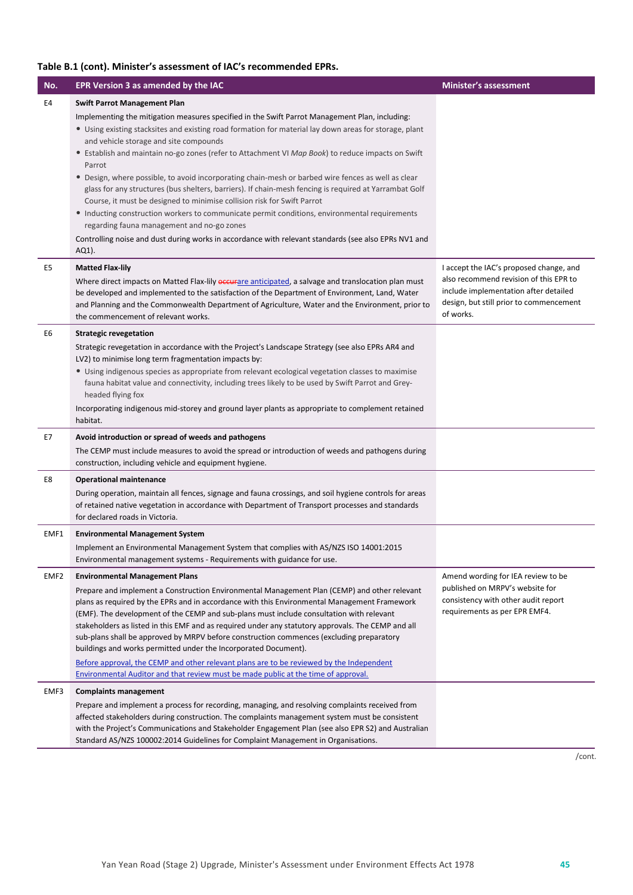| No.              | EPR Version 3 as amended by the IAC                                                                                                                                                                                                                                                                                                                                                          | <b>Minister's assessment</b>                                                                                                                                                       |
|------------------|----------------------------------------------------------------------------------------------------------------------------------------------------------------------------------------------------------------------------------------------------------------------------------------------------------------------------------------------------------------------------------------------|------------------------------------------------------------------------------------------------------------------------------------------------------------------------------------|
| E4               | <b>Swift Parrot Management Plan</b>                                                                                                                                                                                                                                                                                                                                                          |                                                                                                                                                                                    |
|                  | Implementing the mitigation measures specified in the Swift Parrot Management Plan, including:<br>• Using existing stacksites and existing road formation for material lay down areas for storage, plant<br>and vehicle storage and site compounds<br>• Establish and maintain no-go zones (refer to Attachment VI Map Book) to reduce impacts on Swift                                      |                                                                                                                                                                                    |
|                  | Parrot<br>• Design, where possible, to avoid incorporating chain-mesh or barbed wire fences as well as clear<br>glass for any structures (bus shelters, barriers). If chain-mesh fencing is required at Yarrambat Golf<br>Course, it must be designed to minimise collision risk for Swift Parrot                                                                                            |                                                                                                                                                                                    |
|                  | • Inducting construction workers to communicate permit conditions, environmental requirements<br>regarding fauna management and no-go zones                                                                                                                                                                                                                                                  |                                                                                                                                                                                    |
|                  | Controlling noise and dust during works in accordance with relevant standards (see also EPRs NV1 and<br>AQ1).                                                                                                                                                                                                                                                                                |                                                                                                                                                                                    |
| E5               | <b>Matted Flax-lily</b><br>Where direct impacts on Matted Flax-lily <b>eccur</b> are anticipated, a salvage and translocation plan must<br>be developed and implemented to the satisfaction of the Department of Environment, Land, Water<br>and Planning and the Commonwealth Department of Agriculture, Water and the Environment, prior to<br>the commencement of relevant works.         | I accept the IAC's proposed change, and<br>also recommend revision of this EPR to<br>include implementation after detailed<br>design, but still prior to commencement<br>of works. |
| E6               | <b>Strategic revegetation</b>                                                                                                                                                                                                                                                                                                                                                                |                                                                                                                                                                                    |
|                  | Strategic revegetation in accordance with the Project's Landscape Strategy (see also EPRs AR4 and<br>LV2) to minimise long term fragmentation impacts by:<br>• Using indigenous species as appropriate from relevant ecological vegetation classes to maximise                                                                                                                               |                                                                                                                                                                                    |
|                  | fauna habitat value and connectivity, including trees likely to be used by Swift Parrot and Grey-<br>headed flying fox                                                                                                                                                                                                                                                                       |                                                                                                                                                                                    |
|                  | Incorporating indigenous mid-storey and ground layer plants as appropriate to complement retained<br>habitat.                                                                                                                                                                                                                                                                                |                                                                                                                                                                                    |
| E7               | Avoid introduction or spread of weeds and pathogens                                                                                                                                                                                                                                                                                                                                          |                                                                                                                                                                                    |
|                  | The CEMP must include measures to avoid the spread or introduction of weeds and pathogens during<br>construction, including vehicle and equipment hygiene.                                                                                                                                                                                                                                   |                                                                                                                                                                                    |
| E8               | <b>Operational maintenance</b>                                                                                                                                                                                                                                                                                                                                                               |                                                                                                                                                                                    |
|                  | During operation, maintain all fences, signage and fauna crossings, and soil hygiene controls for areas<br>of retained native vegetation in accordance with Department of Transport processes and standards<br>for declared roads in Victoria.                                                                                                                                               |                                                                                                                                                                                    |
| EMF1             | <b>Environmental Management System</b>                                                                                                                                                                                                                                                                                                                                                       |                                                                                                                                                                                    |
|                  | Implement an Environmental Management System that complies with AS/NZS ISO 14001:2015<br>Environmental management systems - Requirements with guidance for use.                                                                                                                                                                                                                              |                                                                                                                                                                                    |
| EMF <sub>2</sub> | <b>Environmental Management Plans</b>                                                                                                                                                                                                                                                                                                                                                        | Amend wording for IEA review to be                                                                                                                                                 |
|                  | Prepare and implement a Construction Environmental Management Plan (CEMP) and other relevant                                                                                                                                                                                                                                                                                                 | published on MRPV's website for<br>consistency with other audit report                                                                                                             |
|                  | plans as required by the EPRs and in accordance with this Environmental Management Framework<br>(EMF). The development of the CEMP and sub-plans must include consultation with relevant                                                                                                                                                                                                     | requirements as per EPR EMF4.                                                                                                                                                      |
|                  | stakeholders as listed in this EMF and as required under any statutory approvals. The CEMP and all                                                                                                                                                                                                                                                                                           |                                                                                                                                                                                    |
|                  | sub-plans shall be approved by MRPV before construction commences (excluding preparatory<br>buildings and works permitted under the Incorporated Document).                                                                                                                                                                                                                                  |                                                                                                                                                                                    |
|                  | Before approval, the CEMP and other relevant plans are to be reviewed by the Independent                                                                                                                                                                                                                                                                                                     |                                                                                                                                                                                    |
|                  | Environmental Auditor and that review must be made public at the time of approval.                                                                                                                                                                                                                                                                                                           |                                                                                                                                                                                    |
| EMF3             | <b>Complaints management</b>                                                                                                                                                                                                                                                                                                                                                                 |                                                                                                                                                                                    |
|                  | Prepare and implement a process for recording, managing, and resolving complaints received from<br>affected stakeholders during construction. The complaints management system must be consistent<br>with the Project's Communications and Stakeholder Engagement Plan (see also EPR S2) and Australian<br>Standard AS/NZS 100002:2014 Guidelines for Complaint Management in Organisations. |                                                                                                                                                                                    |
|                  |                                                                                                                                                                                                                                                                                                                                                                                              |                                                                                                                                                                                    |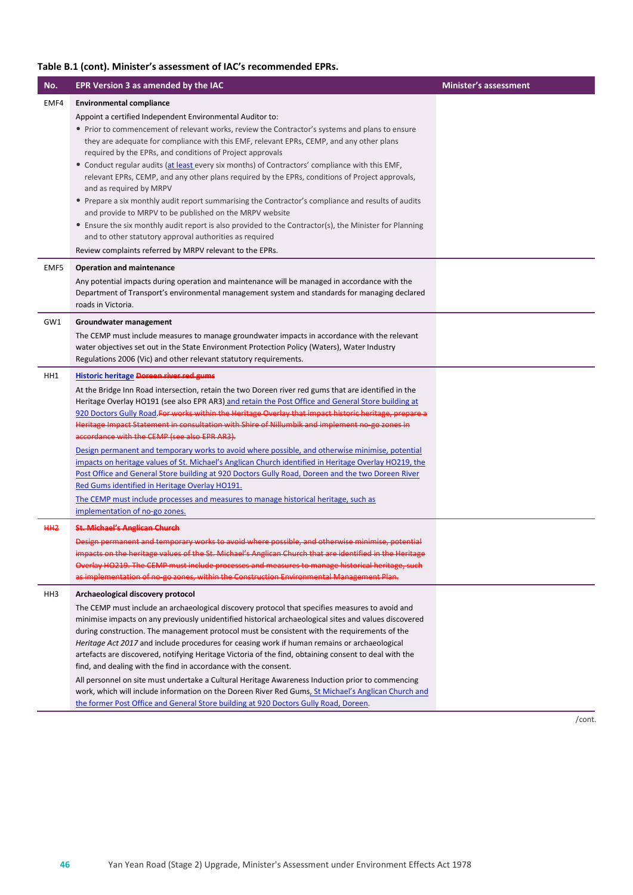| No.            | EPR Version 3 as amended by the IAC                                                                                                                                                                                                                     | <b>Minister's assessment</b> |
|----------------|---------------------------------------------------------------------------------------------------------------------------------------------------------------------------------------------------------------------------------------------------------|------------------------------|
| EMF4           | <b>Environmental compliance</b>                                                                                                                                                                                                                         |                              |
|                | Appoint a certified Independent Environmental Auditor to:                                                                                                                                                                                               |                              |
|                | • Prior to commencement of relevant works, review the Contractor's systems and plans to ensure<br>they are adequate for compliance with this EMF, relevant EPRs, CEMP, and any other plans<br>required by the EPRs, and conditions of Project approvals |                              |
|                | • Conduct regular audits (at least every six months) of Contractors' compliance with this EMF,<br>relevant EPRs, CEMP, and any other plans required by the EPRs, conditions of Project approvals,<br>and as required by MRPV                            |                              |
|                | • Prepare a six monthly audit report summarising the Contractor's compliance and results of audits<br>and provide to MRPV to be published on the MRPV website                                                                                           |                              |
|                | • Ensure the six monthly audit report is also provided to the Contractor(s), the Minister for Planning<br>and to other statutory approval authorities as required                                                                                       |                              |
|                | Review complaints referred by MRPV relevant to the EPRs.                                                                                                                                                                                                |                              |
| EMF5           | <b>Operation and maintenance</b>                                                                                                                                                                                                                        |                              |
|                | Any potential impacts during operation and maintenance will be managed in accordance with the<br>Department of Transport's environmental management system and standards for managing declared<br>roads in Victoria.                                    |                              |
| GW1            | Groundwater management                                                                                                                                                                                                                                  |                              |
|                | The CEMP must include measures to manage groundwater impacts in accordance with the relevant                                                                                                                                                            |                              |
|                | water objectives set out in the State Environment Protection Policy (Waters), Water Industry<br>Regulations 2006 (Vic) and other relevant statutory requirements.                                                                                       |                              |
| HH1            | <b>Historic heritage Doreen river red gums</b>                                                                                                                                                                                                          |                              |
|                | At the Bridge Inn Road intersection, retain the two Doreen river red gums that are identified in the                                                                                                                                                    |                              |
|                | Heritage Overlay HO191 (see also EPR AR3) and retain the Post Office and General Store building at<br>920 Doctors Gully Road For works within the Heritage Overlay that impact historic heritage, prepare a                                             |                              |
|                | Heritage Impact Statement in consultation with Shire of Nillumbik and implement no go zones in                                                                                                                                                          |                              |
|                | accordance with the CEMP (see also EPR AR3).                                                                                                                                                                                                            |                              |
|                | Design permanent and temporary works to avoid where possible, and otherwise minimise, potential                                                                                                                                                         |                              |
|                | impacts on heritage values of St. Michael's Anglican Church identified in Heritage Overlay HO219, the<br>Post Office and General Store building at 920 Doctors Gully Road, Doreen and the two Doreen River                                              |                              |
|                | Red Gums identified in Heritage Overlay HO191.                                                                                                                                                                                                          |                              |
|                | The CEMP must include processes and measures to manage historical heritage, such as                                                                                                                                                                     |                              |
|                | implementation of no-go zones.                                                                                                                                                                                                                          |                              |
| H <sub>H</sub> | <b>St. Michael's Anglican Church</b>                                                                                                                                                                                                                    |                              |
|                | Design permanent and temporary works to avoid where possible, and otherwise minimise, potential<br>impacts on the heritage values of the St. Michael's Anglican Church that are identified in the Her                                                   |                              |
|                | Overlay HO219. The CEMP must include processes and measures to manage historical heritage, such                                                                                                                                                         |                              |
|                | as implementation of no go zones, within the Construction Environmental Management Plan.                                                                                                                                                                |                              |
| HH3            | Archaeological discovery protocol                                                                                                                                                                                                                       |                              |
|                | The CEMP must include an archaeological discovery protocol that specifies measures to avoid and                                                                                                                                                         |                              |
|                | minimise impacts on any previously unidentified historical archaeological sites and values discovered<br>during construction. The management protocol must be consistent with the requirements of the                                                   |                              |
|                | Heritage Act 2017 and include procedures for ceasing work if human remains or archaeological                                                                                                                                                            |                              |
|                | artefacts are discovered, notifying Heritage Victoria of the find, obtaining consent to deal with the                                                                                                                                                   |                              |
|                | find, and dealing with the find in accordance with the consent.                                                                                                                                                                                         |                              |
|                | All personnel on site must undertake a Cultural Heritage Awareness Induction prior to commencing<br>work, which will include information on the Doreen River Red Gums, St Michael's Anglican Church and                                                 |                              |
|                | the former Post Office and General Store building at 920 Doctors Gully Road, Doreen.                                                                                                                                                                    |                              |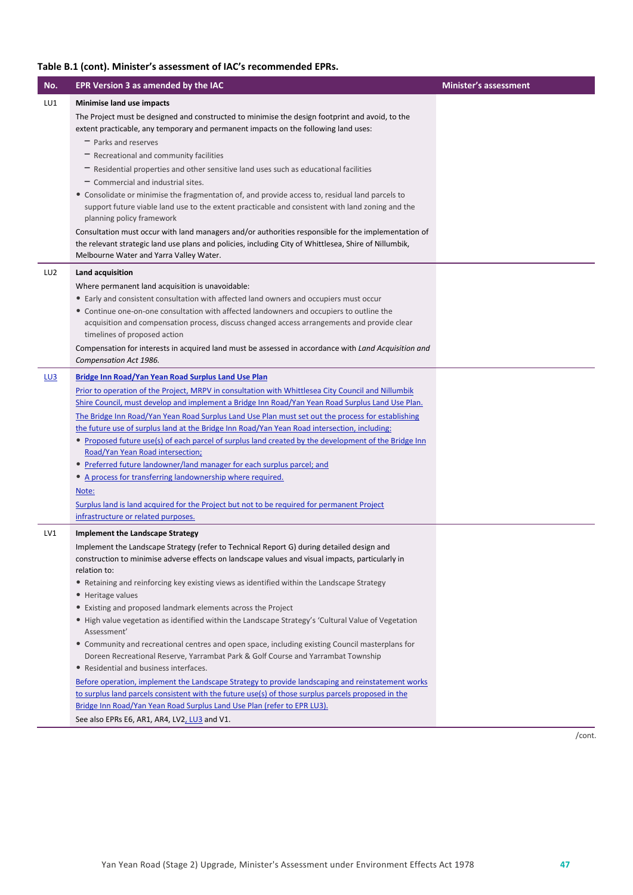| No.             | EPR Version 3 as amended by the IAC                                                                                                                                                                                                                     | <b>Minister's assessment</b> |
|-----------------|---------------------------------------------------------------------------------------------------------------------------------------------------------------------------------------------------------------------------------------------------------|------------------------------|
| LU1             | Minimise land use impacts                                                                                                                                                                                                                               |                              |
|                 | The Project must be designed and constructed to minimise the design footprint and avoid, to the<br>extent practicable, any temporary and permanent impacts on the following land uses:                                                                  |                              |
|                 | $-$ Parks and reserves                                                                                                                                                                                                                                  |                              |
|                 | $-$ Recreational and community facilities<br>$-$ Residential properties and other sensitive land uses such as educational facilities                                                                                                                    |                              |
|                 | - Commercial and industrial sites.                                                                                                                                                                                                                      |                              |
|                 | • Consolidate or minimise the fragmentation of, and provide access to, residual land parcels to                                                                                                                                                         |                              |
|                 | support future viable land use to the extent practicable and consistent with land zoning and the<br>planning policy framework                                                                                                                           |                              |
|                 | Consultation must occur with land managers and/or authorities responsible for the implementation of<br>the relevant strategic land use plans and policies, including City of Whittlesea, Shire of Nillumbik,<br>Melbourne Water and Yarra Valley Water. |                              |
| LU <sub>2</sub> | Land acquisition                                                                                                                                                                                                                                        |                              |
|                 | Where permanent land acquisition is unavoidable:                                                                                                                                                                                                        |                              |
|                 | • Early and consistent consultation with affected land owners and occupiers must occur                                                                                                                                                                  |                              |
|                 | • Continue one-on-one consultation with affected landowners and occupiers to outline the                                                                                                                                                                |                              |
|                 | acquisition and compensation process, discuss changed access arrangements and provide clear                                                                                                                                                             |                              |
|                 | timelines of proposed action<br>Compensation for interests in acquired land must be assessed in accordance with Land Acquisition and                                                                                                                    |                              |
|                 | Compensation Act 1986.                                                                                                                                                                                                                                  |                              |
| L <sub>U3</sub> | Bridge Inn Road/Yan Yean Road Surplus Land Use Plan                                                                                                                                                                                                     |                              |
|                 | Prior to operation of the Project, MRPV in consultation with Whittlesea City Council and Nillumbik                                                                                                                                                      |                              |
|                 | Shire Council, must develop and implement a Bridge Inn Road/Yan Yean Road Surplus Land Use Plan.                                                                                                                                                        |                              |
|                 | The Bridge Inn Road/Yan Yean Road Surplus Land Use Plan must set out the process for establishing<br>the future use of surplus land at the Bridge Inn Road/Yan Yean Road intersection, including:                                                       |                              |
|                 | • Proposed future use(s) of each parcel of surplus land created by the development of the Bridge Inn                                                                                                                                                    |                              |
|                 | Road/Yan Yean Road intersection;                                                                                                                                                                                                                        |                              |
|                 | • Preferred future landowner/land manager for each surplus parcel; and<br>• A process for transferring landownership where required.                                                                                                                    |                              |
|                 | Note:                                                                                                                                                                                                                                                   |                              |
|                 | Surplus land is land acquired for the Project but not to be required for permanent Project                                                                                                                                                              |                              |
|                 | infrastructure or related purposes.                                                                                                                                                                                                                     |                              |
| LV1             | <b>Implement the Landscape Strategy</b>                                                                                                                                                                                                                 |                              |
|                 | Implement the Landscape Strategy (refer to Technical Report G) during detailed design and                                                                                                                                                               |                              |
|                 | construction to minimise adverse effects on landscape values and visual impacts, particularly in                                                                                                                                                        |                              |
|                 | relation to:<br>• Retaining and reinforcing key existing views as identified within the Landscape Strategy                                                                                                                                              |                              |
|                 | • Heritage values                                                                                                                                                                                                                                       |                              |
|                 | • Existing and proposed landmark elements across the Project                                                                                                                                                                                            |                              |
|                 | • High value vegetation as identified within the Landscape Strategy's 'Cultural Value of Vegetation<br>Assessment'                                                                                                                                      |                              |
|                 | • Community and recreational centres and open space, including existing Council masterplans for<br>Doreen Recreational Reserve, Yarrambat Park & Golf Course and Yarrambat Township                                                                     |                              |
|                 | • Residential and business interfaces.                                                                                                                                                                                                                  |                              |
|                 | Before operation, implement the Landscape Strategy to provide landscaping and reinstatement works                                                                                                                                                       |                              |
|                 | to surplus land parcels consistent with the future use(s) of those surplus parcels proposed in the                                                                                                                                                      |                              |
|                 | Bridge Inn Road/Yan Yean Road Surplus Land Use Plan (refer to EPR LU3).<br>See also EPRs E6, AR1, AR4, LV2, LU3 and V1.                                                                                                                                 |                              |
|                 |                                                                                                                                                                                                                                                         |                              |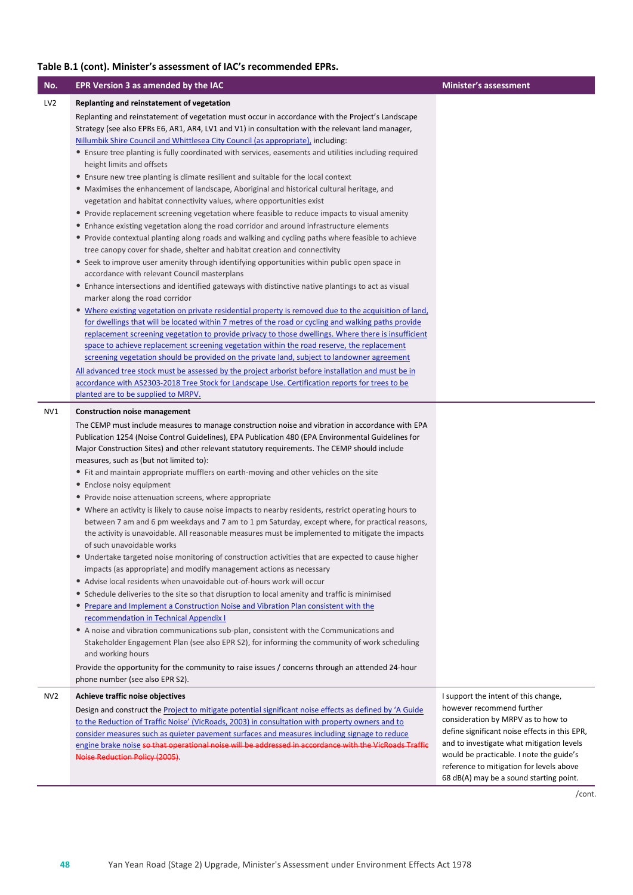| No.             | EPR Version 3 as amended by the IAC                                                                                                                                                                                                                                                                                                                                                                                                                                                                                                                                                                                                                                                                                                                                                                                                                                                                                                                                                                                                                                                                                                                                                                                                                                                                                                                                                                                                                                                                                                                                                                                                                                                                                              | <b>Minister's assessment</b>                                                                                                                                                                                                                                                                     |
|-----------------|----------------------------------------------------------------------------------------------------------------------------------------------------------------------------------------------------------------------------------------------------------------------------------------------------------------------------------------------------------------------------------------------------------------------------------------------------------------------------------------------------------------------------------------------------------------------------------------------------------------------------------------------------------------------------------------------------------------------------------------------------------------------------------------------------------------------------------------------------------------------------------------------------------------------------------------------------------------------------------------------------------------------------------------------------------------------------------------------------------------------------------------------------------------------------------------------------------------------------------------------------------------------------------------------------------------------------------------------------------------------------------------------------------------------------------------------------------------------------------------------------------------------------------------------------------------------------------------------------------------------------------------------------------------------------------------------------------------------------------|--------------------------------------------------------------------------------------------------------------------------------------------------------------------------------------------------------------------------------------------------------------------------------------------------|
| LV <sub>2</sub> | Replanting and reinstatement of vegetation                                                                                                                                                                                                                                                                                                                                                                                                                                                                                                                                                                                                                                                                                                                                                                                                                                                                                                                                                                                                                                                                                                                                                                                                                                                                                                                                                                                                                                                                                                                                                                                                                                                                                       |                                                                                                                                                                                                                                                                                                  |
|                 | Replanting and reinstatement of vegetation must occur in accordance with the Project's Landscape<br>Strategy (see also EPRs E6, AR1, AR4, LV1 and V1) in consultation with the relevant land manager,<br>Nillumbik Shire Council and Whittlesea City Council (as appropriate), including:<br>• Ensure tree planting is fully coordinated with services, easements and utilities including required                                                                                                                                                                                                                                                                                                                                                                                                                                                                                                                                                                                                                                                                                                                                                                                                                                                                                                                                                                                                                                                                                                                                                                                                                                                                                                                               |                                                                                                                                                                                                                                                                                                  |
|                 | height limits and offsets                                                                                                                                                                                                                                                                                                                                                                                                                                                                                                                                                                                                                                                                                                                                                                                                                                                                                                                                                                                                                                                                                                                                                                                                                                                                                                                                                                                                                                                                                                                                                                                                                                                                                                        |                                                                                                                                                                                                                                                                                                  |
|                 | • Ensure new tree planting is climate resilient and suitable for the local context                                                                                                                                                                                                                                                                                                                                                                                                                                                                                                                                                                                                                                                                                                                                                                                                                                                                                                                                                                                                                                                                                                                                                                                                                                                                                                                                                                                                                                                                                                                                                                                                                                               |                                                                                                                                                                                                                                                                                                  |
|                 | • Maximises the enhancement of landscape, Aboriginal and historical cultural heritage, and                                                                                                                                                                                                                                                                                                                                                                                                                                                                                                                                                                                                                                                                                                                                                                                                                                                                                                                                                                                                                                                                                                                                                                                                                                                                                                                                                                                                                                                                                                                                                                                                                                       |                                                                                                                                                                                                                                                                                                  |
|                 | vegetation and habitat connectivity values, where opportunities exist                                                                                                                                                                                                                                                                                                                                                                                                                                                                                                                                                                                                                                                                                                                                                                                                                                                                                                                                                                                                                                                                                                                                                                                                                                                                                                                                                                                                                                                                                                                                                                                                                                                            |                                                                                                                                                                                                                                                                                                  |
|                 | • Provide replacement screening vegetation where feasible to reduce impacts to visual amenity                                                                                                                                                                                                                                                                                                                                                                                                                                                                                                                                                                                                                                                                                                                                                                                                                                                                                                                                                                                                                                                                                                                                                                                                                                                                                                                                                                                                                                                                                                                                                                                                                                    |                                                                                                                                                                                                                                                                                                  |
|                 | • Enhance existing vegetation along the road corridor and around infrastructure elements                                                                                                                                                                                                                                                                                                                                                                                                                                                                                                                                                                                                                                                                                                                                                                                                                                                                                                                                                                                                                                                                                                                                                                                                                                                                                                                                                                                                                                                                                                                                                                                                                                         |                                                                                                                                                                                                                                                                                                  |
|                 | • Provide contextual planting along roads and walking and cycling paths where feasible to achieve<br>tree canopy cover for shade, shelter and habitat creation and connectivity                                                                                                                                                                                                                                                                                                                                                                                                                                                                                                                                                                                                                                                                                                                                                                                                                                                                                                                                                                                                                                                                                                                                                                                                                                                                                                                                                                                                                                                                                                                                                  |                                                                                                                                                                                                                                                                                                  |
|                 | • Seek to improve user amenity through identifying opportunities within public open space in<br>accordance with relevant Council masterplans                                                                                                                                                                                                                                                                                                                                                                                                                                                                                                                                                                                                                                                                                                                                                                                                                                                                                                                                                                                                                                                                                                                                                                                                                                                                                                                                                                                                                                                                                                                                                                                     |                                                                                                                                                                                                                                                                                                  |
|                 | • Enhance intersections and identified gateways with distinctive native plantings to act as visual<br>marker along the road corridor                                                                                                                                                                                                                                                                                                                                                                                                                                                                                                                                                                                                                                                                                                                                                                                                                                                                                                                                                                                                                                                                                                                                                                                                                                                                                                                                                                                                                                                                                                                                                                                             |                                                                                                                                                                                                                                                                                                  |
|                 | • Where existing vegetation on private residential property is removed due to the acquisition of land,                                                                                                                                                                                                                                                                                                                                                                                                                                                                                                                                                                                                                                                                                                                                                                                                                                                                                                                                                                                                                                                                                                                                                                                                                                                                                                                                                                                                                                                                                                                                                                                                                           |                                                                                                                                                                                                                                                                                                  |
|                 | for dwellings that will be located within 7 metres of the road or cycling and walking paths provide<br>replacement screening vegetation to provide privacy to those dwellings. Where there is insufficient                                                                                                                                                                                                                                                                                                                                                                                                                                                                                                                                                                                                                                                                                                                                                                                                                                                                                                                                                                                                                                                                                                                                                                                                                                                                                                                                                                                                                                                                                                                       |                                                                                                                                                                                                                                                                                                  |
|                 | space to achieve replacement screening vegetation within the road reserve, the replacement                                                                                                                                                                                                                                                                                                                                                                                                                                                                                                                                                                                                                                                                                                                                                                                                                                                                                                                                                                                                                                                                                                                                                                                                                                                                                                                                                                                                                                                                                                                                                                                                                                       |                                                                                                                                                                                                                                                                                                  |
|                 | screening vegetation should be provided on the private land, subject to landowner agreement                                                                                                                                                                                                                                                                                                                                                                                                                                                                                                                                                                                                                                                                                                                                                                                                                                                                                                                                                                                                                                                                                                                                                                                                                                                                                                                                                                                                                                                                                                                                                                                                                                      |                                                                                                                                                                                                                                                                                                  |
|                 | All advanced tree stock must be assessed by the project arborist before installation and must be in<br>accordance with AS2303-2018 Tree Stock for Landscape Use. Certification reports for trees to be                                                                                                                                                                                                                                                                                                                                                                                                                                                                                                                                                                                                                                                                                                                                                                                                                                                                                                                                                                                                                                                                                                                                                                                                                                                                                                                                                                                                                                                                                                                           |                                                                                                                                                                                                                                                                                                  |
|                 | planted are to be supplied to MRPV.                                                                                                                                                                                                                                                                                                                                                                                                                                                                                                                                                                                                                                                                                                                                                                                                                                                                                                                                                                                                                                                                                                                                                                                                                                                                                                                                                                                                                                                                                                                                                                                                                                                                                              |                                                                                                                                                                                                                                                                                                  |
| NV1             | <b>Construction noise management</b>                                                                                                                                                                                                                                                                                                                                                                                                                                                                                                                                                                                                                                                                                                                                                                                                                                                                                                                                                                                                                                                                                                                                                                                                                                                                                                                                                                                                                                                                                                                                                                                                                                                                                             |                                                                                                                                                                                                                                                                                                  |
|                 | The CEMP must include measures to manage construction noise and vibration in accordance with EPA<br>Publication 1254 (Noise Control Guidelines), EPA Publication 480 (EPA Environmental Guidelines for<br>Major Construction Sites) and other relevant statutory requirements. The CEMP should include<br>measures, such as (but not limited to):<br>• Fit and maintain appropriate mufflers on earth-moving and other vehicles on the site<br>• Enclose noisy equipment<br>• Provide noise attenuation screens, where appropriate<br>• Where an activity is likely to cause noise impacts to nearby residents, restrict operating hours to<br>between 7 am and 6 pm weekdays and 7 am to 1 pm Saturday, except where, for practical reasons,<br>the activity is unavoidable. All reasonable measures must be implemented to mitigate the impacts<br>of such unavoidable works<br>• Undertake targeted noise monitoring of construction activities that are expected to cause higher<br>impacts (as appropriate) and modify management actions as necessary<br>• Advise local residents when unavoidable out-of-hours work will occur<br>• Schedule deliveries to the site so that disruption to local amenity and traffic is minimised<br>• Prepare and Implement a Construction Noise and Vibration Plan consistent with the<br>recommendation in Technical Appendix I<br>• A noise and vibration communications sub-plan, consistent with the Communications and<br>Stakeholder Engagement Plan (see also EPR S2), for informing the community of work scheduling<br>and working hours<br>Provide the opportunity for the community to raise issues / concerns through an attended 24-hour<br>phone number (see also EPR S2). |                                                                                                                                                                                                                                                                                                  |
| NV <sub>2</sub> | Achieve traffic noise objectives                                                                                                                                                                                                                                                                                                                                                                                                                                                                                                                                                                                                                                                                                                                                                                                                                                                                                                                                                                                                                                                                                                                                                                                                                                                                                                                                                                                                                                                                                                                                                                                                                                                                                                 | I support the intent of this change,                                                                                                                                                                                                                                                             |
|                 | Design and construct the Project to mitigate potential significant noise effects as defined by 'A Guide<br>to the Reduction of Traffic Noise' (VicRoads, 2003) in consultation with property owners and to<br>consider measures such as quieter pavement surfaces and measures including signage to reduce<br>engine brake noise so that operational noise will be addressed in accordance with the VicRoads Traffic<br>Noise Reduction Policy (2005).                                                                                                                                                                                                                                                                                                                                                                                                                                                                                                                                                                                                                                                                                                                                                                                                                                                                                                                                                                                                                                                                                                                                                                                                                                                                           | however recommend further<br>consideration by MRPV as to how to<br>define significant noise effects in this EPR,<br>and to investigate what mitigation levels<br>would be practicable. I note the guide's<br>reference to mitigation for levels above<br>68 dB(A) may be a sound starting point. |
|                 |                                                                                                                                                                                                                                                                                                                                                                                                                                                                                                                                                                                                                                                                                                                                                                                                                                                                                                                                                                                                                                                                                                                                                                                                                                                                                                                                                                                                                                                                                                                                                                                                                                                                                                                                  |                                                                                                                                                                                                                                                                                                  |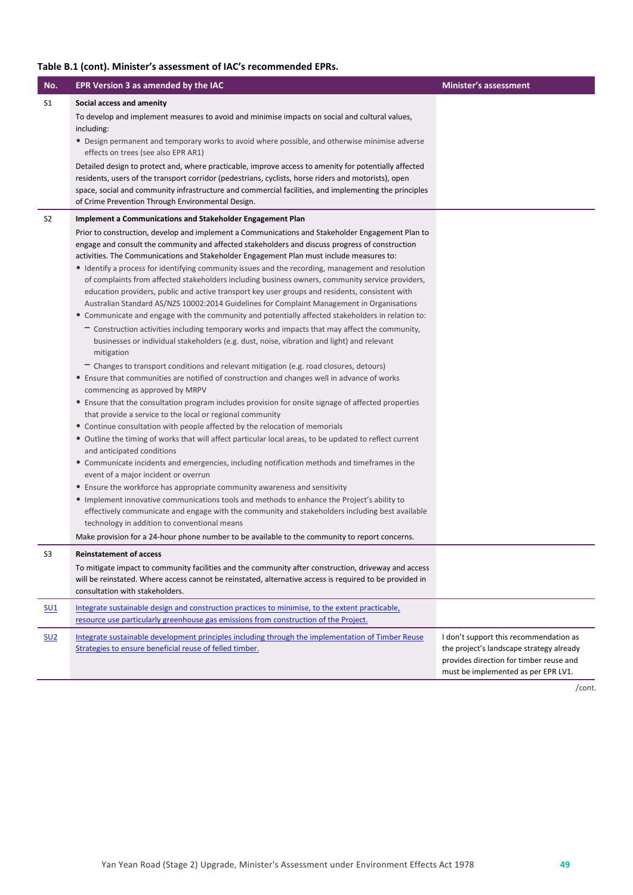| No.             | EPR Version 3 as amended by the IAC                                                                                                                                                                                                                                                                                                                                                                                                                                                                                                                                                                                                                                                                                                                                                                                                                                                                                                                                                                                                                                                                                                                                                                                                                                                                                                                                                                                                                                                                                                                                                                                                                                                                                                                                                                                                                                                                                                                                                                                                                                              | <b>Minister's assessment</b>                                                                                                                                         |
|-----------------|----------------------------------------------------------------------------------------------------------------------------------------------------------------------------------------------------------------------------------------------------------------------------------------------------------------------------------------------------------------------------------------------------------------------------------------------------------------------------------------------------------------------------------------------------------------------------------------------------------------------------------------------------------------------------------------------------------------------------------------------------------------------------------------------------------------------------------------------------------------------------------------------------------------------------------------------------------------------------------------------------------------------------------------------------------------------------------------------------------------------------------------------------------------------------------------------------------------------------------------------------------------------------------------------------------------------------------------------------------------------------------------------------------------------------------------------------------------------------------------------------------------------------------------------------------------------------------------------------------------------------------------------------------------------------------------------------------------------------------------------------------------------------------------------------------------------------------------------------------------------------------------------------------------------------------------------------------------------------------------------------------------------------------------------------------------------------------|----------------------------------------------------------------------------------------------------------------------------------------------------------------------|
| S1              | Social access and amenity                                                                                                                                                                                                                                                                                                                                                                                                                                                                                                                                                                                                                                                                                                                                                                                                                                                                                                                                                                                                                                                                                                                                                                                                                                                                                                                                                                                                                                                                                                                                                                                                                                                                                                                                                                                                                                                                                                                                                                                                                                                        |                                                                                                                                                                      |
|                 | To develop and implement measures to avoid and minimise impacts on social and cultural values,<br>including:<br>• Design permanent and temporary works to avoid where possible, and otherwise minimise adverse<br>effects on trees (see also EPR AR1)                                                                                                                                                                                                                                                                                                                                                                                                                                                                                                                                                                                                                                                                                                                                                                                                                                                                                                                                                                                                                                                                                                                                                                                                                                                                                                                                                                                                                                                                                                                                                                                                                                                                                                                                                                                                                            |                                                                                                                                                                      |
|                 | Detailed design to protect and, where practicable, improve access to amenity for potentially affected<br>residents, users of the transport corridor (pedestrians, cyclists, horse riders and motorists), open<br>space, social and community infrastructure and commercial facilities, and implementing the principles<br>of Crime Prevention Through Environmental Design.                                                                                                                                                                                                                                                                                                                                                                                                                                                                                                                                                                                                                                                                                                                                                                                                                                                                                                                                                                                                                                                                                                                                                                                                                                                                                                                                                                                                                                                                                                                                                                                                                                                                                                      |                                                                                                                                                                      |
| S <sub>2</sub>  | Implement a Communications and Stakeholder Engagement Plan                                                                                                                                                                                                                                                                                                                                                                                                                                                                                                                                                                                                                                                                                                                                                                                                                                                                                                                                                                                                                                                                                                                                                                                                                                                                                                                                                                                                                                                                                                                                                                                                                                                                                                                                                                                                                                                                                                                                                                                                                       |                                                                                                                                                                      |
|                 | Prior to construction, develop and implement a Communications and Stakeholder Engagement Plan to<br>engage and consult the community and affected stakeholders and discuss progress of construction<br>activities. The Communications and Stakeholder Engagement Plan must include measures to:<br>• Identify a process for identifying community issues and the recording, management and resolution<br>of complaints from affected stakeholders including business owners, community service providers,<br>education providers, public and active transport key user groups and residents, consistent with<br>Australian Standard AS/NZS 10002:2014 Guidelines for Complaint Management in Organisations<br>• Communicate and engage with the community and potentially affected stakeholders in relation to:<br>- Construction activities including temporary works and impacts that may affect the community,<br>businesses or individual stakeholders (e.g. dust, noise, vibration and light) and relevant<br>mitigation<br>$-$ Changes to transport conditions and relevant mitigation (e.g. road closures, detours)<br>• Ensure that communities are notified of construction and changes well in advance of works<br>commencing as approved by MRPV<br>• Ensure that the consultation program includes provision for onsite signage of affected properties<br>that provide a service to the local or regional community<br>• Continue consultation with people affected by the relocation of memorials<br>• Outline the timing of works that will affect particular local areas, to be updated to reflect current<br>and anticipated conditions<br>• Communicate incidents and emergencies, including notification methods and timeframes in the<br>event of a major incident or overrun<br>• Ensure the workforce has appropriate community awareness and sensitivity<br>• Implement innovative communications tools and methods to enhance the Project's ability to<br>effectively communicate and engage with the community and stakeholders including best available |                                                                                                                                                                      |
|                 | technology in addition to conventional means<br>Make provision for a 24-hour phone number to be available to the community to report concerns.                                                                                                                                                                                                                                                                                                                                                                                                                                                                                                                                                                                                                                                                                                                                                                                                                                                                                                                                                                                                                                                                                                                                                                                                                                                                                                                                                                                                                                                                                                                                                                                                                                                                                                                                                                                                                                                                                                                                   |                                                                                                                                                                      |
| S3              | <b>Reinstatement of access</b>                                                                                                                                                                                                                                                                                                                                                                                                                                                                                                                                                                                                                                                                                                                                                                                                                                                                                                                                                                                                                                                                                                                                                                                                                                                                                                                                                                                                                                                                                                                                                                                                                                                                                                                                                                                                                                                                                                                                                                                                                                                   |                                                                                                                                                                      |
|                 | To mitigate impact to community facilities and the community after construction, driveway and access<br>will be reinstated. Where access cannot be reinstated, alternative access is required to be provided in<br>consultation with stakeholders.                                                                                                                                                                                                                                                                                                                                                                                                                                                                                                                                                                                                                                                                                                                                                                                                                                                                                                                                                                                                                                                                                                                                                                                                                                                                                                                                                                                                                                                                                                                                                                                                                                                                                                                                                                                                                               |                                                                                                                                                                      |
| SU1             | Integrate sustainable design and construction practices to minimise, to the extent practicable,<br>resource use particularly greenhouse gas emissions from construction of the Project.                                                                                                                                                                                                                                                                                                                                                                                                                                                                                                                                                                                                                                                                                                                                                                                                                                                                                                                                                                                                                                                                                                                                                                                                                                                                                                                                                                                                                                                                                                                                                                                                                                                                                                                                                                                                                                                                                          |                                                                                                                                                                      |
| SU <sub>2</sub> | Integrate sustainable development principles including through the implementation of Timber Reuse<br>Strategies to ensure beneficial reuse of felled timber.                                                                                                                                                                                                                                                                                                                                                                                                                                                                                                                                                                                                                                                                                                                                                                                                                                                                                                                                                                                                                                                                                                                                                                                                                                                                                                                                                                                                                                                                                                                                                                                                                                                                                                                                                                                                                                                                                                                     | I don't support this recommendation as<br>the project's landscape strategy already<br>provides direction for timber reuse and<br>must be implemented as per EPR LV1. |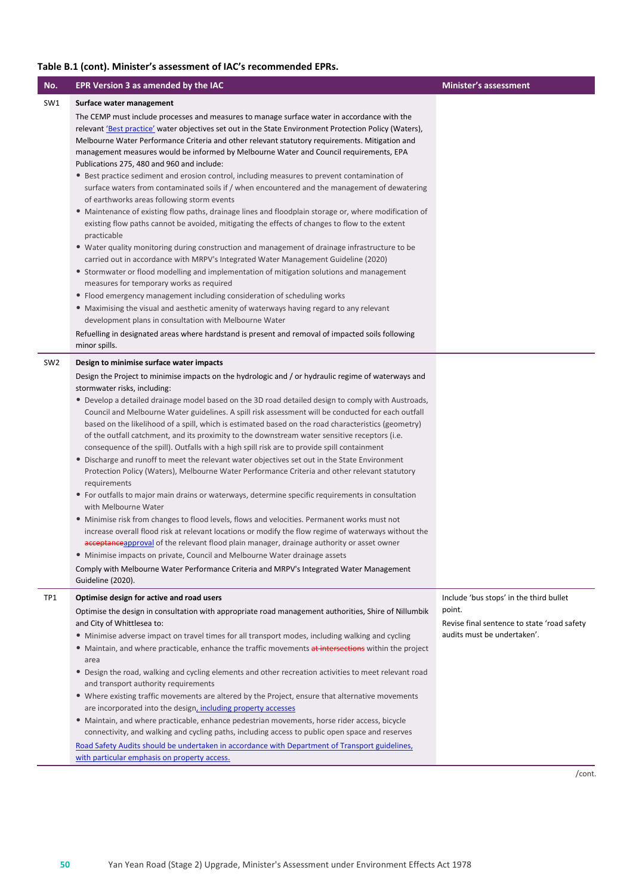| No.             | EPR Version 3 as amended by the IAC                                                                                                                                                                                                                                                                                                                                                                                                                                                                                                                                                                                                                                                                                                                                                                                                                                                                                                                                                                                                                                                                                                                                                                                                                                                                                                                                                                                                                                                                      | <b>Minister's assessment</b>                                                         |
|-----------------|----------------------------------------------------------------------------------------------------------------------------------------------------------------------------------------------------------------------------------------------------------------------------------------------------------------------------------------------------------------------------------------------------------------------------------------------------------------------------------------------------------------------------------------------------------------------------------------------------------------------------------------------------------------------------------------------------------------------------------------------------------------------------------------------------------------------------------------------------------------------------------------------------------------------------------------------------------------------------------------------------------------------------------------------------------------------------------------------------------------------------------------------------------------------------------------------------------------------------------------------------------------------------------------------------------------------------------------------------------------------------------------------------------------------------------------------------------------------------------------------------------|--------------------------------------------------------------------------------------|
| SW1             | Surface water management                                                                                                                                                                                                                                                                                                                                                                                                                                                                                                                                                                                                                                                                                                                                                                                                                                                                                                                                                                                                                                                                                                                                                                                                                                                                                                                                                                                                                                                                                 |                                                                                      |
|                 | The CEMP must include processes and measures to manage surface water in accordance with the<br>relevant 'Best practice' water objectives set out in the State Environment Protection Policy (Waters),<br>Melbourne Water Performance Criteria and other relevant statutory requirements. Mitigation and<br>management measures would be informed by Melbourne Water and Council requirements, EPA<br>Publications 275, 480 and 960 and include:<br>• Best practice sediment and erosion control, including measures to prevent contamination of<br>surface waters from contaminated soils if / when encountered and the management of dewatering<br>of earthworks areas following storm events<br>• Maintenance of existing flow paths, drainage lines and floodplain storage or, where modification of<br>existing flow paths cannot be avoided, mitigating the effects of changes to flow to the extent<br>practicable<br>• Water quality monitoring during construction and management of drainage infrastructure to be<br>carried out in accordance with MRPV's Integrated Water Management Guideline (2020)<br>• Stormwater or flood modelling and implementation of mitigation solutions and management<br>measures for temporary works as required<br>• Flood emergency management including consideration of scheduling works<br>• Maximising the visual and aesthetic amenity of waterways having regard to any relevant<br>development plans in consultation with Melbourne Water              |                                                                                      |
|                 | Refuelling in designated areas where hardstand is present and removal of impacted soils following<br>minor spills.                                                                                                                                                                                                                                                                                                                                                                                                                                                                                                                                                                                                                                                                                                                                                                                                                                                                                                                                                                                                                                                                                                                                                                                                                                                                                                                                                                                       |                                                                                      |
| SW <sub>2</sub> | Design to minimise surface water impacts                                                                                                                                                                                                                                                                                                                                                                                                                                                                                                                                                                                                                                                                                                                                                                                                                                                                                                                                                                                                                                                                                                                                                                                                                                                                                                                                                                                                                                                                 |                                                                                      |
|                 | Design the Project to minimise impacts on the hydrologic and / or hydraulic regime of waterways and<br>stormwater risks, including:<br>• Develop a detailed drainage model based on the 3D road detailed design to comply with Austroads,<br>Council and Melbourne Water guidelines. A spill risk assessment will be conducted for each outfall<br>based on the likelihood of a spill, which is estimated based on the road characteristics (geometry)<br>of the outfall catchment, and its proximity to the downstream water sensitive receptors (i.e.<br>consequence of the spill). Outfalls with a high spill risk are to provide spill containment<br>• Discharge and runoff to meet the relevant water objectives set out in the State Environment<br>Protection Policy (Waters), Melbourne Water Performance Criteria and other relevant statutory<br>requirements<br>• For outfalls to major main drains or waterways, determine specific requirements in consultation<br>with Melbourne Water<br>• Minimise risk from changes to flood levels, flows and velocities. Permanent works must not<br>increase overall flood risk at relevant locations or modify the flow regime of waterways without the<br>acceptanceapproval of the relevant flood plain manager, drainage authority or asset owner<br>• Minimise impacts on private, Council and Melbourne Water drainage assets<br>Comply with Melbourne Water Performance Criteria and MRPV's Integrated Water Management<br>Guideline (2020). |                                                                                      |
| TP1             | Optimise design for active and road users                                                                                                                                                                                                                                                                                                                                                                                                                                                                                                                                                                                                                                                                                                                                                                                                                                                                                                                                                                                                                                                                                                                                                                                                                                                                                                                                                                                                                                                                | Include 'bus stops' in the third bullet                                              |
|                 | Optimise the design in consultation with appropriate road management authorities, Shire of Nillumbik<br>and City of Whittlesea to:<br>• Minimise adverse impact on travel times for all transport modes, including walking and cycling<br>• Maintain, and where practicable, enhance the traffic movements at intersections within the project<br>area<br>• Design the road, walking and cycling elements and other recreation activities to meet relevant road<br>and transport authority requirements<br>• Where existing traffic movements are altered by the Project, ensure that alternative movements<br>are incorporated into the design, including property accesses<br>• Maintain, and where practicable, enhance pedestrian movements, horse rider access, bicycle<br>connectivity, and walking and cycling paths, including access to public open space and reserves<br>Road Safety Audits should be undertaken in accordance with Department of Transport guidelines,<br>with particular emphasis on property access.                                                                                                                                                                                                                                                                                                                                                                                                                                                                        | point.<br>Revise final sentence to state 'road safety<br>audits must be undertaken'. |
|                 |                                                                                                                                                                                                                                                                                                                                                                                                                                                                                                                                                                                                                                                                                                                                                                                                                                                                                                                                                                                                                                                                                                                                                                                                                                                                                                                                                                                                                                                                                                          |                                                                                      |